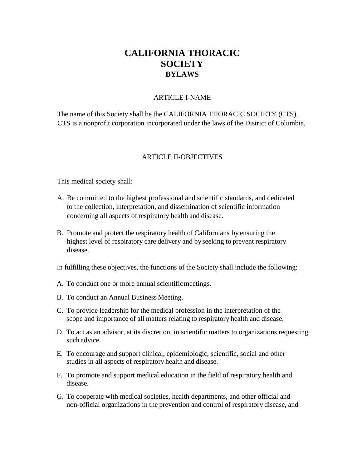# **CALIFORNIA THORACIC SOCIETY BYLAWS**

#### ARTICLE I-NAME

The name of this Society shall be the CALIFORNIA THORACIC SOCIETY (CTS). CTS is a nonprofit corporation incorporated under the laws of the District of Columbia.

#### ARTICLE II-OBJECTIVES

This medical society shall:

- A. Be committed to the highest professional and scientific standards, and dedicated to the collection, interpretation, and dissemination of scientific information concerning all aspects of respiratory health and disease.
- B. Promote and protect the respiratory health of Californians by ensuring the highest level of respiratory care delivery and by seeking to prevent respiratory disease.
- In fulfilling these objectives, the functions of the Society shall include the following:
- A. To conduct one or more annual scientificmeetings.
- B. To conduct an Annual Business Meeting.
- C. To provide leadership for the medical profession in the interpretation of the scope and importance of all matters relating to respiratory health and disease.
- D. To act as an advisor, at its discretion, in scientific matters to organizations requesting such advice.
- E. To encourage and support clinical, epidemiologic, scientific, social and other studies in all aspects of respiratory health and disease.
- F. To promote and support medical education in the field of respiratory health and disease.
- G. To cooperate with medical societies, health departments, and other official and non-official organizations in the prevention and control of respiratory disease, and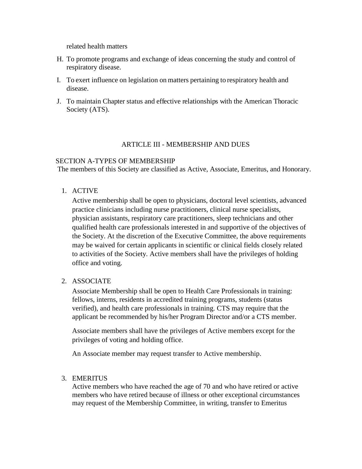related health matters

- H. To promote programs and exchange of ideas concerning the study and control of respiratory disease.
- I. To exert influence on legislation on matters pertaining to respiratory health and disease.
- J. To maintain Chapter status and effective relationships with the American Thoracic Society (ATS).

#### ARTICLE III - MEMBERSHIP AND DUES

#### SECTION A-TYPES OF MEMBERSHIP

The members of this Society are classified as Active, Associate, Emeritus, and Honorary.

1. ACTIVE

Active membership shall be open to physicians, doctoral level scientists, advanced practice clinicians including nurse practitioners, clinical nurse specialists, physician assistants, respiratory care practitioners, sleep technicians and other qualified health care professionals interested in and supportive of the objectives of the Society. At the discretion of the Executive Committee, the above requirements may be waived for certain applicants in scientific or clinical fields closely related to activities of the Society. Active members shall have the privileges of holding office and voting.

#### 2. ASSOCIATE

Associate Membership shall be open to Health Care Professionals in training: fellows, interns, residents in accredited training programs, students (status verified), and health care professionals in training. CTS may require that the applicant be recommended by his/her Program Director and/or a CTS member.

Associate members shall have the privileges of Active members except for the privileges of voting and holding office.

An Associate member may request transfer to Active membership.

#### 3. EMERITUS

Active members who have reached the age of 70 and who have retired or active members who have retired because of illness or other exceptional circumstances may request of the Membership Committee, in writing, transfer to Emeritus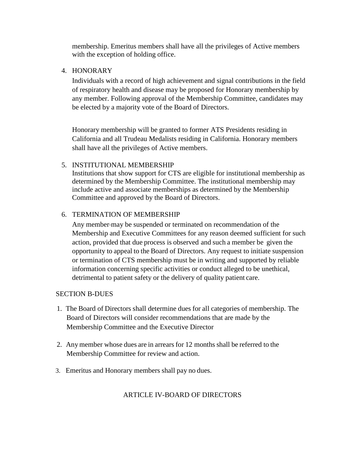membership. Emeritus members shall have all the privileges of Active members with the exception of holding office.

4. HONORARY

Individuals with a record of high achievement and signal contributions in the field of respiratory health and disease may be proposed for Honorary membership by any member. Following approval of the Membership Committee, candidates may be elected by a majority vote of the Board of Directors.

Honorary membership will be granted to former ATS Presidents residing in California and all Trudeau Medalists residing in California. Honorary members shall have all the privileges of Active members.

## 5. INSTITUTIONAL MEMBERSHIP

Institutions that show support for CTS are eligible for institutional membership as determined by the Membership Committee. The institutional membership may include active and associate memberships as determined by the Membership Committee and approved by the Board of Directors.

# 6. TERMINATION OF MEMBERSHIP

Any member may be suspended or terminated on recommendation of the Membership and Executive Committees for any reason deemed sufficient for such action, provided that due process is observed and such a member be given the opportunity to appeal to the Board of Directors. Any request to initiate suspension or termination of CTS membership must be in writing and supported by reliable information concerning specific activities or conduct alleged to be unethical, detrimental to patient safety or the delivery of quality patient care.

## SECTION B-DUES

- 1. The Board of Directors shall determine dues for all categories of membership. The Board of Directors will consider recommendations that are made by the Membership Committee and the Executive Director
- 2. Any member whose dues are in arrears for 12 months shall be referred to the Membership Committee for review and action.
- 3. Emeritus and Honorary members shall pay no dues.

## ARTICLE IV-BOARD OF DIRECTORS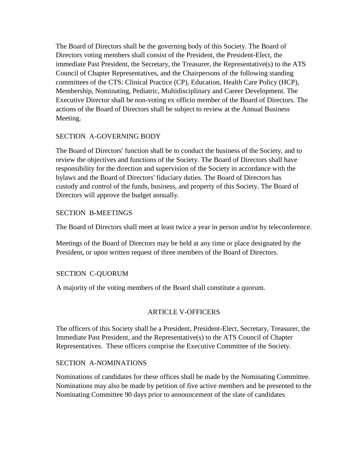The Board of Directors shall be the governing body of this Society. The Board of Directors voting members shall consist of the President, the President-Elect, the immediate Past President, the Secretary, the Treasurer, the Representative(s) to the ATS Council of Chapter Representatives, and the Chairpersons of the following standing committees of the CTS: Clinical Practice (CP), Education, Health Care Policy (HCP), Membership, Nominating, Pediatric, Multidisciplinary and Career Development. The Executive Director shall be non-voting ex officio member of the Board of Directors. The actions of the Board of Directors shall be subject to review at the Annual Business Meeting.

# SECTION A-GOVERNING BODY

The Board of Directors' function shall be to conduct the business of the Society, and to review the objectives and functions of the Society. The Board of Directors shall have responsibility for the direction and supervision of the Society in accordance with the bylaws and the Board of Directors' fiduciary duties. The Board of Directors has custody and control of the funds, business, and property of this Society. The Board of Directors will approve the budget annually.

# SECTION B-MEETINGS

The Board of Directors shall meet at least twice a year in person and/or by teleconference.

Meetings of the Board of Directors may be held at any time or place designated by the President, or upon written request of three members of the Board of Directors.

# SECTION C-QUORUM

A majority of the voting members of the Board shall constitute a quorum.

# ARTICLE V-OFFICERS

The officers of this Society shall be a President, President-Elect, Secretary, Treasurer, the Immediate Past President, and the Representative(s) to the ATS Council of Chapter Representatives. These officers comprise the Executive Committee of the Society.

## SECTION A-NOMINATIONS

Nominations of candidates for these offices shall be made by the Nominating Committee. Nominations may also be made by petition of five active members and be presented to the Nominating Committee 90 days prior to announcement of the slate of candidates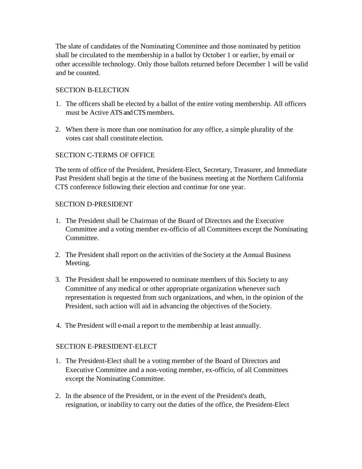The slate of candidates of the Nominating Committee and those nominated by petition shall be circulated to the membership in a ballot by October 1 or earlier, by email or other accessible technology. Only those ballots returned before December 1 will be valid and be counted.

## SECTION B-ELECTION

- 1. The officers shall be elected by a ballot of the entire voting membership. All officers must be Active ATS and CTS members.
- 2. When there is more than one nomination for any office, a simple plurality of the votes cast shall constitute election.

# SECTION C-TERMS OF OFFICE

The term of office of the President, President-Elect, Secretary, Treasurer, and Immediate Past President shall begin at the time of the business meeting at the Northern California CTS conference following their election and continue for one year.

## SECTION D-PRESIDENT

- 1. The President shall be Chairman of the Board of Directors and the Executive Committee and a voting member ex-officio of all Committees except the Nominating Committee.
- 2. The President shall report on the activities of the Society at the Annual Business Meeting.
- 3. The President shall be empowered to nominate members of this Society to any Committee of any medical or other appropriate organization whenever such representation is requested from such organizations, and when, in the opinion of the President, such action will aid in advancing the objectives of the Society.
- 4. The President will e-mail a report to the membership at least annually.

# SECTION E-PRESIDENT-ELECT

- 1. The President-Elect shall be a voting member of the Board of Directors and Executive Committee and a non-voting member, ex-officio, of all Committees except the Nominating Committee.
- 2. In the absence of the President, or in the event of the President's death, resignation, or inability to carry out the duties of the office, the President-Elect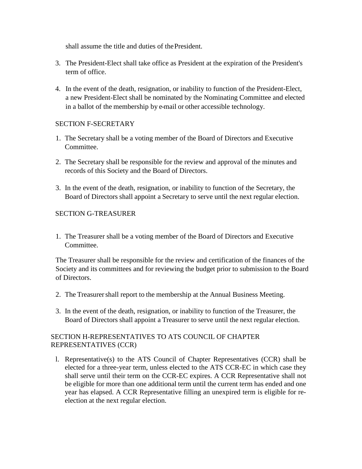shall assume the title and duties of thePresident.

- 3. The President-Elect shall take office as President at the expiration of the President's term of office.
- 4. In the event of the death, resignation, or inability to function of the President-Elect, a new President-Elect shall be nominated by the Nominating Committee and elected in a ballot of the membership by e-mail or other accessible technology.

## SECTION F-SECRETARY

- 1. The Secretary shall be a voting member of the Board of Directors and Executive Committee.
- 2. The Secretary shall be responsible for the review and approval of the minutes and records of this Society and the Board of Directors.
- 3. In the event of the death, resignation, or inability to function of the Secretary, the Board of Directors shall appoint a Secretary to serve until the next regular election.

# SECTION G-TREASURER

1. The Treasurer shall be a voting member of the Board of Directors and Executive Committee.

The Treasurer shall be responsible for the review and certification of the finances of the Society and its committees and for reviewing the budget prior to submission to the Board of Directors.

- 2. The Treasurershall report to the membership at the Annual Business Meeting.
- 3. In the event of the death, resignation, or inability to function of the Treasurer, the Board of Directors shall appoint a Treasurer to serve until the next regular election.

# SECTION H-REPRESENTATIVES TO ATS COUNCIL OF CHAPTER REPRESENTATIVES (CCR)

l. Representative(s) to the ATS Council of Chapter Representatives (CCR) shall be elected for a three-year term, unless elected to the ATS CCR-EC in which case they shall serve until their term on the CCR-EC expires. A CCR Representative shall not be eligible for more than one additional term until the current term has ended and one year has elapsed. A CCR Representative filling an unexpired term is eligible for reelection at the next regular election.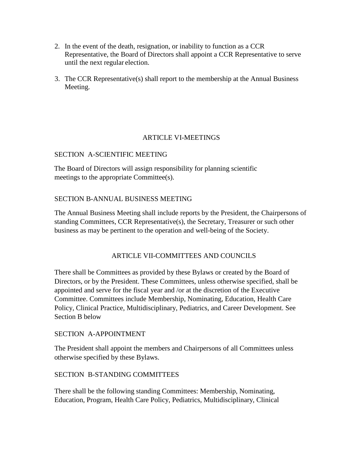- 2. In the event of the death, resignation, or inability to function as a CCR Representative, the Board of Directors shall appoint a CCR Representative to serve until the next regular election.
- 3. The CCR Representative(s) shall report to the membership at the Annual Business Meeting.

## ARTICLE VI-MEETINGS

# SECTION A-SCIENTIFIC MEETING

The Board of Directors will assign responsibility for planning scientific meetings to the appropriate Committee(s).

## SECTION B-ANNUAL BUSINESS MEETING

The Annual Business Meeting shall include reports by the President, the Chairpersons of standing Committees, CCR Representative(s), the Secretary, Treasurer or such other business as may be pertinent to the operation and well-being of the Society.

# ARTICLE VII-COMMITTEES AND COUNCILS

There shall be Committees as provided by these Bylaws or created by the Board of Directors, or by the President. These Committees, unless otherwise specified, shall be appointed and serve for the fiscal year and /or at the discretion of the Executive Committee. Committees include Membership, Nominating, Education, Health Care Policy, Clinical Practice, Multidisciplinary, Pediatrics, and Career Development. See Section B below

## SECTION A-APPOINTMENT

The President shall appoint the members and Chairpersons of all Committees unless otherwise specified by these Bylaws.

## SECTION B-STANDING COMMITTEES

There shall be the following standing Committees: Membership, Nominating, Education, Program, Health Care Policy, Pediatrics, Multidisciplinary, Clinical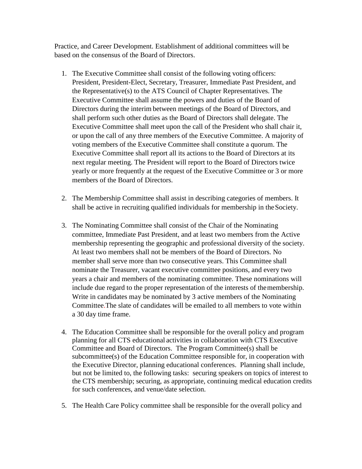Practice, and Career Development. Establishment of additional committees will be based on the consensus of the Board of Directors.

- 1. The Executive Committee shall consist of the following voting officers: President, President-Elect, Secretary, Treasurer, Immediate Past President, and the Representative(s) to the ATS Council of Chapter Representatives. The Executive Committee shall assume the powers and duties of the Board of Directors during the interim between meetings of the Board of Directors, and shall perform such other duties as the Board of Directors shall delegate. The Executive Committee shall meet upon the call of the President who shall chair it, or upon the call of any three members of the Executive Committee. A majority of voting members of the Executive Committee shall constitute a quorum. The Executive Committee shall report all its actions to the Board of Directors at its next regular meeting. The President will report to the Board of Directors twice yearly or more frequently at the request of the Executive Committee or 3 or more members of the Board of Directors.
- 2. The Membership Committee shall assist in describing categories of members. It shall be active in recruiting qualified individuals for membership in theSociety.
- 3. The Nominating Committee shall consist of the Chair of the Nominating committee, Immediate Past President, and at least two members from the Active membership representing the geographic and professional diversity of the society. At least two members shall not be members of the Board of Directors. No member shall serve more than two consecutive years. This Committee shall nominate the Treasurer, vacant executive committee positions, and every two years a chair and members of the nominating committee. These nominations will include due regard to the proper representation of the interests of themembership. Write in candidates may be nominated by 3 active members of the Nominating Committee.The slate of candidates will be emailed to all members to vote within a 30 day time frame.
- 4. The Education Committee shall be responsible for the overall policy and program planning for all CTS educational activities in collaboration with CTS Executive Committee and Board of Directors. The Program Committee(s) shall be subcommittee(s) of the Education Committee responsible for, in cooperation with the Executive Director, planning educational conferences. Planning shall include, but not be limited to, the following tasks: securing speakers on topics of interest to the CTS membership; securing, as appropriate, continuing medical education credits for such conferences, and venue/date selection.
- 5. The Health Care Policy committee shall be responsible for the overall policy and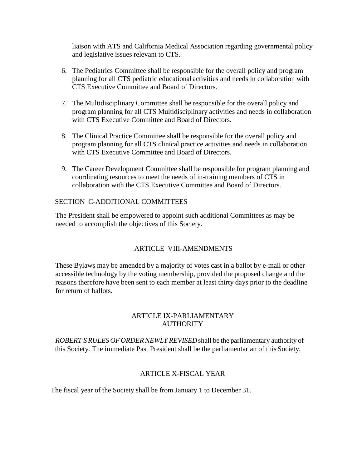liaison with ATS and California Medical Association regarding governmental policy and legislative issues relevant to CTS.

- 6. The Pediatrics Committee shall be responsible for the overall policy and program planning for all CTS pediatric educational activities and needs in collaboration with CTS Executive Committee and Board of Directors.
- 7. The Multidisciplinary Committee shall be responsible for the overall policy and program planning for all CTS Multidisciplinary activities and needs in collaboration with CTS Executive Committee and Board of Directors.
- 8. The Clinical Practice Committee shall be responsible for the overall policy and program planning for all CTS clinical practice activities and needs in collaboration with CTS Executive Committee and Board of Directors.
- 9. The Career Development Committee shall be responsible for program planning and coordinating resources to meet the needs of in-training members of CTS in collaboration with the CTS Executive Committee and Board of Directors.

#### SECTION C-ADDITIONAL COMMITTEES

The President shall be empowered to appoint such additional Committees as may be needed to accomplish the objectives of this Society.

## ARTICLE VIII-AMENDMENTS

These Bylaws may be amended by a majority of votes cast in a ballot by e-mail or other accessible technology by the voting membership, provided the proposed change and the reasons therefore have been sent to each member at least thirty days prior to the deadline for return of ballots.

## ARTICLE IX-PARLIAMENTARY **AUTHORITY**

*ROBERT'SRULES OFORDERNEWLY REVISED*shall be the parliamentary authority of this Society. The immediate Past President shall be the parliamentarian of this Society.

#### ARTICLE X-FISCAL YEAR

The fiscal year of the Society shall be from January 1 to December 31.